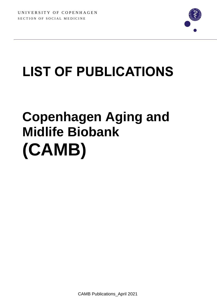

## **LIST OF PUBLICATIONS**

## **Copenhagen Aging and Midlife Biobank (CAMB)**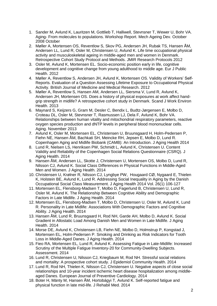- 1. Sander M, Avlund K, Lauritzen M, Gottlieb T, Halliwell, Stevnsner T, Wewer U, Bohr VA. Aging- From molecules to populations. Workshop Report. Mech Ageing Dev. October 2008 October
- 2. Møller A, Mortensen OS, Reventlow S, Skov PG, Andersen JH, Rubak TS, Hansen ÅM, Andersen LL, Lund R, Osler M, Christensen U, Avlund K. Life time occupational physical activity and musculoskeletal ageing in middle-aged men and women in Denmark. Retrospective Cohort Study Protocol and Methods. JMIR Research Protocols 2012
- 3. Osler M, Avlund K, Mortensen EL. Socio-economic position early in life, cognitive development and cognitive change from young adulthood to middle age. Eur J Public Health. 2012
- 4. Møller A, Reventlow S, Andersen JH, Avlund K, Mortensen OS. Validity of Workers' Self-Reports. Evaluation of a Question Assessing Lifetime Exposure to Occupational Physical Activity. British Journal of Medicine and Medical Research. 2012
- 5. [Møller A,](http://www.ncbi.nlm.nih.gov/pubmed?term=M%C3%B8ller%20A%5BAuthor%5D&cauthor=true&cauthor_uid=23665642) [Reventlow S,](http://www.ncbi.nlm.nih.gov/pubmed?term=Reventlow%20S%5BAuthor%5D&cauthor=true&cauthor_uid=23665642) [Hansen AM,](http://www.ncbi.nlm.nih.gov/pubmed?term=Hansen%20AM%5BAuthor%5D&cauthor=true&cauthor_uid=23665642) [Andersen LL,](http://www.ncbi.nlm.nih.gov/pubmed?term=Andersen%20LL%5BAuthor%5D&cauthor=true&cauthor_uid=23665642) [Siersma V,](http://www.ncbi.nlm.nih.gov/pubmed?term=Siersma%20V%5BAuthor%5D&cauthor=true&cauthor_uid=23665642) [Lund R,](http://www.ncbi.nlm.nih.gov/pubmed?term=Lund%20R%5BAuthor%5D&cauthor=true&cauthor_uid=23665642) [Avlund K,](http://www.ncbi.nlm.nih.gov/pubmed?term=Avlund%20K%5BAuthor%5D&cauthor=true&cauthor_uid=23665642) [Andersen JH,](http://www.ncbi.nlm.nih.gov/pubmed?term=Andersen%20JH%5BAuthor%5D&cauthor=true&cauthor_uid=23665642) [Mortensen OS.](http://www.ncbi.nlm.nih.gov/pubmed?term=Mortensen%20OS%5BAuthor%5D&cauthor=true&cauthor_uid=23665642) Does a history of physical exposures at work affect handgrip strength in midlife? A retrospective cohort study in Denmark. [Scand J Work Environ](http://www.ncbi.nlm.nih.gov/pubmed/23665642)  [Health.](http://www.ncbi.nlm.nih.gov/pubmed/23665642) 2013
- 6. Maynard S, Keijzers G, Gram M, Desler C, Bendix L, Budtz-Jørgensen E, Molbo D, Croteau DL, Osler M, Stevnsner T, Rasmussen LJ, Dela F, Avlund K, Bohr VA. Relationships between human vitality and mitochondrial respiratory parameters, reactive oxygen species production and dNTP levels in peripheral blood mononuclear cells. Aging. November 2013
- 7. Avlund K, Osler M, Mortensen EL, Christensen U, Bruunsgaard H, Holm-Pedersen P, Fiehn NE, Hansen ÅM, Bachkati SH, Meincke RH, Jepsen E, Molbo D, Lund R. Copenhagen Aging and Midlife Biobank (CAMB): An Introduction. J Aging Health 2014
- 8. Lund R, Nielsen LS, Henriksen PW, Schmidt L, Avlund K, Christensen U. Content Validity and Reliability of the Copenhagen Social Relations Questionnaire (CSRQ). J Aging Health. 2014
- 9. Hansen ÅM, Andersen LL, Skotte J, Christensen U, Mortensen OS, Molbo D, Lund R, Nilsson CJ, Avlund K. Social Class Differences in Physical Functions in Middle-Aged Men and Women. J Aging Health. 2014
- 10. Christensen U, Krølner R, Nilsson CJ, Lyngbye PW, Hougaard CØ, Nygaard E, Thielen K, Holstein BE, Avlund K, Lund R. Addressing Social Inequality in Aging by the Danish Occupational Social Class Measurement. J Aging Health 2014 Vol. 26(1) 106-127
- 11. Mortensen EL, Flensborg-Madsen T, Molbo D, Fagerlund B, Christensen U, Lund R, Osler M, Avlund K. The Relationship Between Cognitive Ability and Demographic Factors in Late Midlife. J Aging Health. 2014
- 12. Mortensen EL, Flensborg-Madsen T, Molbo D, Christensen U, Osler M, Avlund K, Lund R. Personality in Late Midlife: Associations With Demographic Factors and Cognitive Ability. J Aging Health. 2014
- 13. Hansen ÅM, Lund R, Bruunsgaard H, Rod NH, Garde AH, Molbo D, Avlund K. Social Gradient in Allostatic Load Among Danish Men and Women in Late Midlife. J Aging Health. 2014
- 14. Morse DE, Avlund K, Christensen LB, Fiehn NE, Molbo D, Holmstrup P, Kongstad J, Mortensen EL, Holm-Pedersen P. Smoking and Drinking as Risk Indicators for Tooth Loss in Middle-Aged Danes. J Aging Health. 2014
- 15. Fieo RA, Mortensen EL, Lund R, Avlund K. Assessing Fatigue in Late-Midlife: Increased Scrutiny of the Multiple Fatigue Inventory-20 for Community-Dwelling Subjects. Assessment. 2014
- 16. Lund R, Christensen U, Nilsson CJ, Kriegbaum M, Rod NH. Stressful social relations and mortality: A prospective cohort study. J Epidemiol Community Health. 2014
- 17. Lund R, Rod NH, Thielen K, Nilsson CJ, Christensen U. Negative aspects of close social relationships and 10-year incident ischemic heart disease hospitalization among middleaged Danes. European Journal of Preventive Cardiology. 2014
- 18. Boter H, Mänty M, Hansen ÅM, Hortobágyi T, Avlund K. Self-reported fatigue and physical function in late mid-life. J Rehabil Med. 2014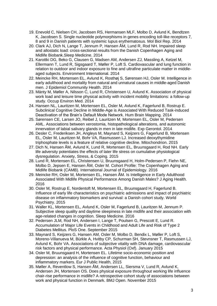- 19. Enevold C, Nielsen CH, Jacobsen RS, Hermansen MLF, Molbo D, Avlund K, Bendtzen K, Jacobsen S. Single nucleotide polymorphisms in genes encoding toll-like receptors 7, 8 and 9 in Danish patients with systemic lupus erythematosus. Mol Biol Rep. 2014
- 20. Clark AJ, Dich N, Lange T, Jennum P, Hansen ÅM, Lund R, Rod NH. Impaired sleep and allostatic load: cross-sectional results from the Danish Copenhagen Aging and Midlife Biobank.Sleep Medicine. 2014
- 21. Karottki DG, Beko G, Clausen G, Madsen AM, Andersen ZJ, Massling A, Ketzel M, Ellermann T, Lund R, Sigsgaard T, Møller P, Loft S. Cardiovascular and lung function in relation to outdoor and indoor exposure to fine and ultrafine particulate matter in middleaged subjects. Environment International. 2014
- 22. [Meincke RH,](http://www.ncbi.nlm.nih.gov/pubmed?term=Meincke%20RH%5BAuthor%5D&cauthor=true&cauthor_uid=24062410) [Mortensen EL,](http://www.ncbi.nlm.nih.gov/pubmed?term=Mortensen%20EL%5BAuthor%5D&cauthor=true&cauthor_uid=24062410) [Avlund K,](http://www.ncbi.nlm.nih.gov/pubmed?term=Avlund%20K%5BAuthor%5D&cauthor=true&cauthor_uid=24062410) [Rosthøj S,](http://www.ncbi.nlm.nih.gov/pubmed?term=Rosth%C3%B8j%20S%5BAuthor%5D&cauthor=true&cauthor_uid=24062410) [Sørensen HJ,](http://www.ncbi.nlm.nih.gov/pubmed?term=S%C3%B8rensen%20HJ%5BAuthor%5D&cauthor=true&cauthor_uid=24062410) [Osler M.](http://www.ncbi.nlm.nih.gov/pubmed?term=Osler%20M%5BAuthor%5D&cauthor=true&cauthor_uid=24062410) Intelligence in early adulthood and mortality from natural and unnatural causes in middle-aged Danish men. J Epidemiol Community Health. 2014
- 23. Mänty M, Møller A, Nilsson C, Lund R, Christensen U, Avlund K. Association of physical work load and leisure time physical activity with incident mobility limitations: a follow-up study. Occup Environ Med. 2014
- 24. Hansen NL, Lauritzen M, Mortensen EL, Osler M, Avlund K, Fagerlund B, Rostrup E. Subclinical Cognitive Decline in Middle-Age is Associated With Reduced Task-induced Deactivation of the Brain's Default Mode Network. Hum Brain Mapping. 2014
- 25. Sørensen CE, Larsen JO, Reibel J, Lauritzen M, Mortensen EL, Osler M, Pedersen AML. Associations between xerostomia, histopathological alterations, and autonomic innervation of labial salivary glands in men in late midlife. Exp Gerontol. 2014
- 26. Desler C, Frederiksen JH, Angleys M, Maynard S, Keijzers G, Fagerlund B, Mortensen EL, Osler M, Lauritzen M, Bohr VA, Rasmussen LJ. Increased deoxythymidine triphosphate levels is a feature of relative cognitive decline. Mitochondrion. 2015
- 27. Dich N, Hansen ÅM, Avlund K, Lund R, Mortensen EL, Bruunsgaard H, Rod NH. Early life adversity potentiates the effects of later life stress on cumulative physiological dysregulation. Anxiety, Stress, & Coping. 2015
- 28. Lund R, Mortensen EL, Christensen U, Bruunsgaard H, Holm-Pedersen P, Fiehn NE, Molbo D, Jepsen E, Hansen ÅM, Osler M. [Cohort Profile: The Copenhagen Aging and](http://www.ncbi.nlm.nih.gov/pubmed/26210613)  [Midlife Biobank \(CAMB\).](http://www.ncbi.nlm.nih.gov/pubmed/26210613) International Journal of Epidemiology. 2016
- 29. Meincke RH, Osler M, Mortensen EL, Hansen ÅM. [Is Intelligence in Early Adulthood](http://www.ncbi.nlm.nih.gov/pubmed/26148944)  [Associated With Midlife Physical Performance Among Danish Males?](http://www.ncbi.nlm.nih.gov/pubmed/26148944) J Aging Health. 2016
- 30. Osler M, Rostrup E, Nordentoft M, Mortensen EL, Bruunsgaard H, Fagerlund B. Influence of early life characteristics on psychiatric admissions and impact of psychiatric disease on inflammatory biomarkers and survival: a Danish cohort study. World Psychiatry. 2015
- 31. Waller KL, Mortensen EL, Avlund K, Osler M, Fagerlund B, Lauritzen M, Jennum P. [Subjective sleep quality and daytime sleepiness in late midlife and their association with](http://www.ncbi.nlm.nih.gov/pubmed/26188599)  [age-related changes in cognition.](http://www.ncbi.nlm.nih.gov/pubmed/26188599) Sleep Medicine. 2016
- 32. Pedersen JLM, Rod NH, Andersen I, Lange T, Poulsen G, Prescott E, Lund R. Accumulation of Major Life Events in Childhood and Adult Life and Risk of Type 2 Diabetes Mellitus. PloS One. September 2015
- 33. Maynard S, Keijzers G, Hansen AM, Osler M, Molbo D, Bendix L, Møller P, Loft S, Moreno-Villanueva M, Bürkle A, Hvitby CP, Schurman SH, Stevnsner T, Rasmussen LJ, Avlund K, Bohr VA. Associations of subjective vitality with DNA damage, cardiovascular risk factors and physical performance. Acta Physiol (Oxf). January 2015
- 34. Osler M, Bruunsgaard H, Mortensen EL. Lifetime socio-economic position and depression: an analysis of the influence of cognitive function, behaviour and inflammatory markers. Eur J Public Health, 2015
- 35. Møller A, Reventlow S, Hansen ÅM, Andersen LL, Siersma V, Lund R, Avlund K, Andersen JH, Mortensen OS. Does physical exposure throughout working life influence chair-rise performance in midlife? A retrospective cohort study of associations between work and physical function in Denmark. BMJ Open. November 2015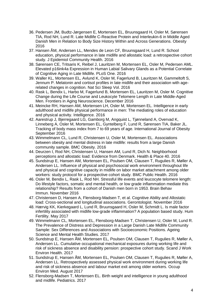- 36. Pedersen JM, Budtz-Jørgensen E, Mortensen EL, Bruunsgaard H, Osler M, Sørensen TIA, Rod NH, Lund R. Late Midlife C-Reactive Protein and Interleukin-6 in Middle Aged Danish Men in Relation to Body Size History Within and Across Generations. Obesity 2016
- 37. Hansen ÅM, Andersen LL, Mendes de Leon CF, Bruunsgaard H, Lund R. School education, physical performance in late midlife and allostatic load: a retrospective cohort study. J Epidemiol Community Health. 2016
- 38. Sørensen CE, Tritsaris K, Reibel J, Lauritzen M, Mortensen EL, Osler M, Pedersen AML. Elevated p16ink4a Expression in Human Labial Salivary Glands as a Potential Correlate of Cognitive Aging in Late Midlife. PLoS One. 2016
- 39. Waller KL, Mortensen EL, Avlund K, Osler M, Fagerlund B, Lauritzen M, Gammeltoft S, Jennum P. Melatonin and cortisol profiles in late midlife and their association with agerelated changes in cognition. Nat Sci Sleep Vol. 2016
- 40. Rask L, Bendix L, Harbo M, Fagerlund B, Mortensen EL, Lauritzen M, Osler M. Cognitive Change during the Life Course and Leukocyte Telomere Length in Late Middle-Aged Men. Frontiers in Aging Neuroscience. December 2016
- 41. Meincke RH, Hansen AM, Mortensen LH, Osler M, Mortensen EL. Intelligence in early adulthood and midlife physical performance in men: The mediating roles of education and physical activity. Intelligence. 2016
- 42. Aarestrup J, Bjerregaard LG, Gamborg M, Angquist L, Tjønneland A, Overvad K, Linneberg A, Osler M, Mortensen EL, Gyntelberg F, Lund R, Sørensen TIA, Baker JL. Tracking of body mass index from 7 to 69 years of age. International Journal of Obesity September 2016
- 43. Wimmelmann CL, Lund R, Christensen U, Osler M, Mortensen EL. Associations between obesity and mental distress in late midlife: results from a large Danish community sample. BMC Obesity. 2016
- 44. Deurzen I, Rod NH, Christensen U, Hansen AM, Lund R, Dich N. Neighborhood perceptions and allostatic load: Evidence from Denmark. Health & Place 40. 2016
- 45. Sundstrup E, Hansen AM, Mortensen EL, Poulsen OM, Clausen T, Rugulies R, Møller A, Andersen LL. Influence of physical and psychosocial work environment throughout life and physical and cognitive capacity in midlife on labor market attachment among older workers: study protocol for a prospective cohort study. BMC Public Health. 2016
- 46. Osler M, Bendix L, Rask L, Rod NH. Stressful life events and leucocyte telomere length: Do lifestyle factors, somatic and mental health, or low grade inflammation mediate this relationship? Results from a cohort of Danish men born in 1953. Brain Behav Immun. November 2016
- 47. Christensen D, Hansen A, Flensborg-Madsen T, et al. Cognitive Ability and Allostatic load: Cross-sectional and longitudinal associations. Gerontologist. November 2016
- 48. Hærvig KK, Kierkegaard L, Lund R, Bruunsgaard H, Osler M, Schmidt L. Is male factor infertility associated with midlife low-grade inflammation? A population based study. Hum Fertility. May 2017
- 49. Wimmelmann CL, Mortensen EL, Flensborg-Madsen T, Christensen U, Osler M, Lund R. The Prevalence of Distress and Depression in a Large Danish Late Midlife Community Sample: Sex Differences and Associations with Socioeconomic Positions. Ageing Science and Mental Health Studies. 2017
- 50. Sundstrup E, Hansen ÅM, Mortensen EL, Poulsen OM, Clausen T, Rugulies R, Møller A, Andersen LL. Cumulative occupational mechanical exposures during working life and risk of sickness absence and disability pension: prospective cohort study. Scand J Work Environ Health. 2017
- 51. Sundstrup E, Hansen ÅM, Mortensen EL, Poulsen OM, Clausen T, Rugulies R, Møller A, Andersen LL. Retrospectively assessed physical work environment during working life and risk of sickness absence and labour market exit among older workers. Occup Environ Med. August 2017
- 52. Flensborg-Madsen T, Mortensen EL. Birth weight and intelligence in young adulthood and midlife. Pediatrics. 2017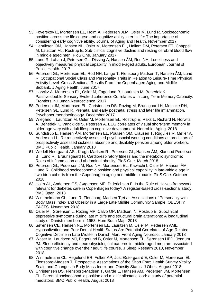- 53. Foverskov E, Mortensen EL, Holm A, Pedersen JLM, Osler M, Lund R. Socioeconomic position across the life course and cognitive ability later in life: The importance of considering early cognitive ability. Journal of Aging and Health. November 2017
- 54. Henriksen OM, Hansen NL, Osler M, Mortensen EL, Hallam DM, Petersen ET, Chappell M, Lauitzen MJ, Rostrup E. Sub-clinical cognitive decline and resting cerebral blood flow in middle aged men. PloS One. January 2017
- 55. Lund R, Laban J, Petersen GL, Dissing A, Hansen ÅM, Rod NH. Loneliness and objectively measured physical capability in middle-aged adults. European Journal of Public Health. 2017
- 56. Petersen GL, Mortensen EL, Rod NH, Lange T, Flensborg-Madsen T, Hansen ÅM, Lund R. Occupational Social Class and Personality Traits in Relation to Leisure-Time Physical Activity Level: Cross-Sectional Results From the Copenhagen Aging and Midlife Biobank. J Aging Health. June 2017
- 57. Horwitz A, Mortensen EL, Osler M, Fagerlund B, Lauritzen M, Benedek K. Passive double-Sensory Evoked coherence Correlates with Long-Term Memory Capacity. Frontiers in Human Neuroscience. 2017
- 58. Pedersen JM, Mortensen EL, Christensen DS, Rozing M, Brunsgaard H, Meincke RH, Petersen GL, Lund R. Prenatal and early postnatal stress and later life inflammation. Psychoneuroendocrinology. December 2017
- 59. Wiegand I, Lauritzen M, Osler M, Mortensen EL, Rostrup E, Raks L, Richard N, Horwitz A, Benedek K, Vangkilde S, Petersen A. EEG correlates of visual short-term memory in older age vary with adult lifespan cognitive development. Neurobiol Aging. 2018
- 60. Sundstrup E, Hansen ÅM, Mortensen EL, Poulsen OM, Clausen T, Rugulies R, Møller A, Andersen LL. Retrospectively assessed psychosocial working conditions as predictors of prospectively assessed sickness absence and disability pension among older workers. BMC Public Health. January 2018
- 61. Wedell-Neergaard AS , Krogh-Madsen R , Petersen GL, Hansen ÅM, Klarlund Pedersen B , Lund R, Bruunsgaard H. Cardiorespiratory fitness and the metabolic syndrome: Roles of inflammation and abdominal obesity. PloS One. March 2018
- 62. Petersen GL, Pedersen JM, Rod NH, Mortensen EL, Kawachi I, Osler M, Hansen ÅM, Lund R. Childhood socioeconomic position and physical capability in late-middle age in two birth cohorts from the Copenhagen aging and midlife biobank. PloS One. October 2018
- 63. Holm AL, Andersen GS, Jørgensen ME, Diderichsen F. Is the Rule of Halves framework relevant for diabetes care in Copenhagen today? A register-based cross-sectional study. BMJ Open. 2018
- 64. Wimmelmann CL, Lund R, Flensborg-Madsen T,et al. Associations of Personality with Body Mass Index and Obesity in a Large Late Midlife Community Sample. OBESITY FACTS. November 2018
- 65. Osler M, Sørensen L, Rozing MP, Calvo OP, Madsen, N, Rostrup E. Subclinical depressive symptoms during late midlife and structural brain alterations: A longitudinal study of Danish men born in 1953. Hum Brain Map. 2018
- 66. Sørensen CE, Hansen NL, Mortensen EL, Lauritzen M, Osler M, Pedersen AML. Hyposalivation and Poor Dental Health Status Are Potential Correlates of Age-Related Cognitive Decline in Late Midlife in Danish Men. Front Aging Neurosci. January 2018
- 67. Waser M, Lauritzen MJ, Fagerlund B, Osler M, Mortensen EL, Sørensen HBD, Jennum PJ. Sleep efficiency and neurophysiological patterns in middle-aged men are associated with cognitive change over their adult life course. J Sleep Researh 2018, November 2018
- 68. Wimmelmann CL, Hegelund ER, Folker AP, Just-Østergaard E, Osler M, Mortensen EL, Flensborg-Madsen T. Prospective Associations of the Short Form Health Survey Vitality Scale and Changes in Body Mass Index and Obesity Status. J Obes. August 2018
- 69. Christensen DS, Flensborg-Madsen T, Garde E, Hansen ÅM, Pedersen JM, Mortensen EL. Parental socioeconomic position and midlife allostatic load: a study of potential mediators. BMC Public Health. August 2018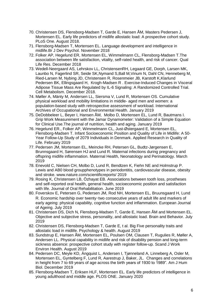- 70. Christensen DS, Flensborg-Madsen T, Garde E, Hansen ÅM, Masters Pedersen J, Mortensen EL. Early life predictors of midlife allostatic load: A prospective cohort study. PLoS One. August 2018.
- 71. Flensborg-Madsen T, Mortensen EL. Language development and intelligence in midlife.Br J Dev Psychol. November 2018
- 72. Folker AP, Hegelund ER, Mortensen EL, Wimmelmann CL, Flensborg-Madsen T[.The](https://www.ncbi.nlm.nih.gov/pubmed/30536220)  [association between life satisfaction, vitality, self-rated health, and risk of cancer.](https://www.ncbi.nlm.nih.gov/pubmed/30536220) Qual Life Res. December 2018
- 73. Wedell-Neergaard AS, Lehrskov LL, ChristensenRH, Legaard GE, Dorph, Larsen MK, Launbo N, Fagerlind SR, Seide SK,Nymand S,Ball M,Vinum N, Dahl CN, Henneberg M, Ried-Larsen M, Nybing JD, Christensen R, Rosenmeier JB, Karstoft K,Klarlund Pedersen BK, Ellingsgaard H, Krogh-Madsen R . Exercise-Induced Changes in Visceral Adipose Tissue Mass Are Regulated by IL-6 Signaling: A Randomized Controlled Trial. Cell Metabolism. December 2018.
- 74. Møller A, Mänty M, Andersen LL, Siersma V, Lund R, Mortensen OS. Cumulative physical workload and mobility limitations in middle- aged men and women: a population-based study with retrospective assessment of workload. International Archives of Occupational and Environmental Health. January 2019
- 75. DeDobbeleer L, Beyer I, Hansen ÅM, Molbo D, Mortensen EL, Lund R, Bautmans I. Grip Work Measurement with the Jamar Dynamometer: Validation of a Simple Equation for Clinical Use.The journal of nutrition, health and aging. January 2019
- 76. Hegelund ER., Folker AP, Wimmelmann CL, Just-Østergaard E, Mortensen EL, Flensborg-Madsen T. Infant Socioeconomic Position and Quality of Life in Midlife: A 50- Year Follow-Up Study of 2079 Individuals in Denmark. Applied Research in Quality of Life. February 2019
- 77. Pedersen JM, Mortensen EL, Meincke RH, Petersen GL, Budtz-Jørgensen E, Brunnsgaard H, Sørensen HJ and Lund R. Maternal infections during pregnancy and offspring midlife inflammation. Maternal Health, Neonatology and Perinatology. March 2019
- 78. Enevold C, Nielsen CH, Molbo D, Lund R, Bendtzen K, Fiehn NE and Holmstrup P. Lewis and AB0 blood groupphenotypes in periodontitis, cardiovascular disease, obesity and stroke. www.nature.com/scientificreports/ 2019
- 79. Rosing K, Christensen LB, Özhayat EB. Associations between tooth loss, prostheses and self‐reported oral health, general health, socioeconomic position and satisfaction with life. Journal of Oral Rehabilitation. June 2019
- 80. Foverskov E, Petersen G, Pedersen JM, Rod NH, Mortensen EL, Bruunsgaard H, Lund R. Economic hardship over twenty‑two consecutive years of adult life and markers of early ageing: physical capability, cognitive function and inflammation. European Journal of Ageing. July 2019
- 81. Christensen DS, Dich N, Flensborg-Madsen T, Garde E, Hansen ÅM and Mortensen EL. Objective and subjective stress, personality, and allostatic load. Brain and Behavior. July 2019
- 82. Christensen DS, Flensborg-Madsen T, Garde E, t al. Big Five personality traits and allostatic load in midlife. Psychology & health. August 2019
- 83. Sundstrup E, Hansen ÅM, Mortensen EL, Poulsen OM, Clausen T, Rugulies R, Møller A, Andersen LL. Physical capability in midlife and risk of disability pension and long-term sickness absence: prospective cohort study with register follow-up. Scand J Work Environ Health. August 2019
- 84. Pedersen DC, Meyle KD, Ängquist L, Andersen I, Tjønneland A, Linneberg A, Osler M, Mortensen EL, Gyntelberg F, Lund R, Aarestrup J, Baker, JL. Changes and correlations in height from 7 to 69 years of age across the birth years of 1930 to 1989". Am J Hum Biol. December 2019
- 85. Flensborg-Madsen T, Eriksen HLF, Mortensen EL. Early life predictors of intelligence in young adulthood and middle age. PLOS ONE. January 2020